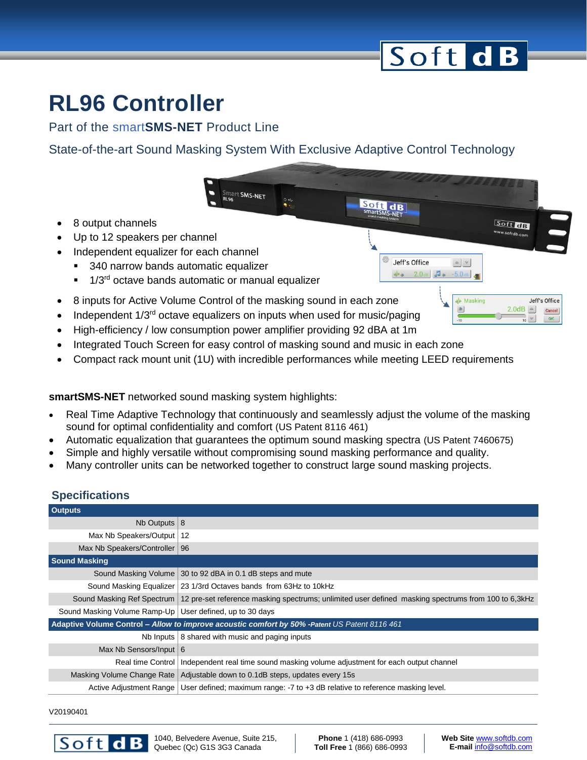# Soft dB

 $\begin{array}{c|c} \multicolumn{3}{c|}{\sim} & \multicolumn{3}{c|}{\sim} \\ \multicolumn{3}{c|}{\sim} & \multicolumn{3}{c|}{\sim} \\ \multicolumn{3}{c|}{\sim} & \multicolumn{3}{c|}{\sim} \\ \multicolumn{3}{c|}{\sim} & \multicolumn{3}{c|}{\sim} \\ \multicolumn{3}{c|}{\sim} & \multicolumn{3}{c|}{\sim} \\ \multicolumn{3}{c|}{\sim} & \multicolumn{3}{c|}{\sim} \\ \multicolumn{3}{c|}{\sim} & \multicolumn{3}{c|}{\sim} \\ \multicolumn{3}{c|}{\sim} & \$ 

 $-5.0$  dB

**W** Masking

Soft dB

**Jeff's Office** 

Cancel

**OK** 

 $2.0dB$   $\triangleq$ 

 $\overline{\mathbf{v}}$ 

**Soft dB**<br>smartSMS-NFT

6

Jeff's Office

Wa 2.0 dB Ja

### **RL96 Controller**

Part of the smart**SMS-NET** Product Line

State-of-the-art Sound Masking System With Exclusive Adaptive Control Technology

- 8 output channels
- Up to 12 speakers per channel
- Independent equalizer for each channel
	- 340 narrow bands automatic equalizer
	- <sup>1/3rd</sup> octave bands automatic or manual equalizer
- 8 inputs for Active Volume Control of the masking sound in each zone
- Independent  $1/3<sup>rd</sup>$  octave equalizers on inputs when used for music/paging

**Mark SMS-NET** 

- High-efficiency / low consumption power amplifier providing 92 dBA at 1m
- Integrated Touch Screen for easy control of masking sound and music in each zone
- Compact rack mount unit (1U) with incredible performances while meeting LEED requirements

**smartSMS-NET** networked sound masking system highlights:

- Real Time Adaptive Technology that continuously and seamlessly adjust the volume of the masking sound for optimal confidentiality and comfort (US Patent 8116 461)
- Automatic equalization that guarantees the optimum sound masking spectra (US Patent 7460675)
- Simple and highly versatile without compromising sound masking performance and quality.
- Many controller units can be networked together to construct large sound masking projects.

#### **Specifications**

| <b>Outputs</b>                                                                                 |                                                                                                                                  |
|------------------------------------------------------------------------------------------------|----------------------------------------------------------------------------------------------------------------------------------|
| Nb Outputs $ 8$                                                                                |                                                                                                                                  |
| Max Nb Speakers/Output   12                                                                    |                                                                                                                                  |
| Max Nb Speakers/Controller   96                                                                |                                                                                                                                  |
| <b>Sound Masking</b>                                                                           |                                                                                                                                  |
|                                                                                                | Sound Masking Volume   30 to 92 dBA in 0.1 dB steps and mute                                                                     |
|                                                                                                | Sound Masking Equalizer 23 1/3rd Octaves bands from 63Hz to 10kHz                                                                |
|                                                                                                | Sound Masking Ref Spectrum   12 pre-set reference masking spectrums; unlimited user defined masking spectrums from 100 to 6,3kHz |
| Sound Masking Volume Ramp-Up   User defined, up to 30 days                                     |                                                                                                                                  |
| Adaptive Volume Control - Allow to improve acoustic comfort by 50% - Patent US Patent 8116 461 |                                                                                                                                  |
|                                                                                                | Nb Inputs   8 shared with music and paging inputs                                                                                |
| Max Nb Sensors/Input $6$                                                                       |                                                                                                                                  |
| Real time Control                                                                              | Independent real time sound masking volume adjustment for each output channel                                                    |
| Masking Volume Change Rate                                                                     | Adjustable down to 0.1dB steps, updates every 15s                                                                                |
|                                                                                                | Active Adjustment Range   User defined; maximum range: -7 to +3 dB relative to reference masking level.                          |

V20190401